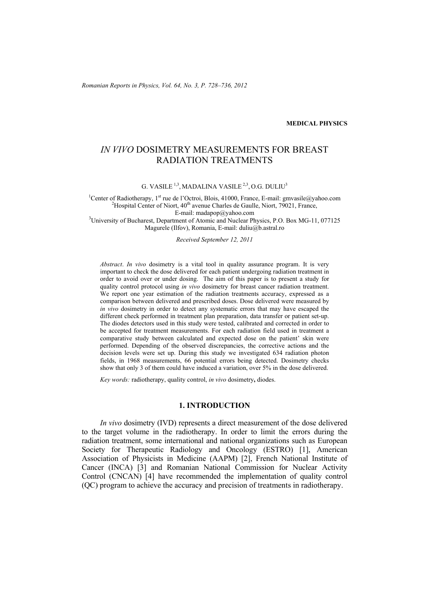*Romanian Reports in Physics, Vol. 64, No. 3, P. 728–736, 2012*

**MEDICAL PHYSICS**

# *IN VIVO* DOSIMETRY MEASUREMENTS FOR BREAST RADIATION TREATMENTS

G. VASILE<sup>1,3</sup>, MADALINA VASILE<sup>2,3</sup>, O.G. DULIU<sup>3</sup>

<sup>1</sup> Center of Radiotherapy, 1<sup>st</sup> rue de l'Octroi, Blois, 41000, France, E-mail: gmvasile@yahoo.com <sup>2</sup>Hospital Center of Niort, 40<sup>th</sup> avenue Charles de Gaulle, Niort, 70021, France <sup>2</sup>Hospital Center of Niort,  $40<sup>th</sup>$  avenue Charles de Gaulle, Niort, 79021, France, E-mail: madapop@yahoo.com 3 University of Bucharest, Department of Atomic and Nuclear Physics, P.O. Box MG-11, 077125

Magurele (Ilfov), Romania, E-mail: duliu@b.astral.ro

*Received September 12, 2011* 

*Abstract*. *In vivo* dosimetry is a vital tool in quality assurance program. It is very important to check the dose delivered for each patient undergoing radiation treatment in order to avoid over or under dosing. The aim of this paper is to present a study for quality control protocol using *in vivo* dosimetry for breast cancer radiation treatment. We report one year estimation of the radiation treatments accuracy, expressed as a comparison between delivered and prescribed doses. Dose delivered were measured by *in vivo* dosimetry in order to detect any systematic errors that may have escaped the different check performed in treatment plan preparation, data transfer or patient set-up. The diodes detectors used in this study were tested, calibrated and corrected in order to be accepted for treatment measurements. For each radiation field used in treatment a comparative study between calculated and expected dose on the patient' skin were performed. Depending of the observed discrepancies, the corrective actions and the decision levels were set up. During this study we investigated 634 radiation photon fields, in 1968 measurements, 66 potential errors being detected. Dosimetry checks show that only 3 of them could have induced a variation, over 5% in the dose delivered.

*Key words:* radiotherapy, quality control, *in vivo* dosimetry**,** diodes.

## **1. INTRODUCTION**

*In vivo* dosimetry (IVD) represents a direct measurement of the dose delivered to the target volume in the radiotherapy. In order to limit the errors during the radiation treatment, some international and national organizations such as European Society for Therapeutic Radiology and Oncology (ESTRO) [1], American Association of Physicists in Medicine (AAPM) [2], French National Institute of Cancer (INCA) [3] and Romanian National Commission for Nuclear Activity Control (CNCAN) [4] have recommended the implementation of quality control (QC) program to achieve the accuracy and precision of treatments in radiotherapy.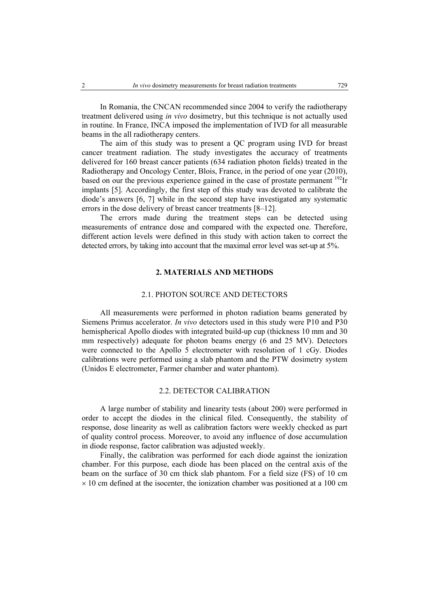In Romania, the CNCAN recommended since 2004 to verify the radiotherapy treatment delivered using *in vivo* dosimetry, but this technique is not actually used in routine. In France, INCA imposed the implementation of IVD for all measurable beams in the all radiotherapy centers.

The aim of this study was to present a QC program using IVD for breast cancer treatment radiation. The study investigates the accuracy of treatments delivered for 160 breast cancer patients (634 radiation photon fields) treated in the Radiotherapy and Oncology Center, Blois, France, in the period of one year (2010), based on our the previous experience gained in the case of prostate permanent <sup>192</sup>Ir implants [5]. Accordingly, the first step of this study was devoted to calibrate the diode's answers [6, 7] while in the second step have investigated any systematic errors in the dose delivery of breast cancer treatments [8–12].

The errors made during the treatment steps can be detected using measurements of entrance dose and compared with the expected one. Therefore, different action levels were defined in this study with action taken to correct the detected errors, by taking into account that the maximal error level was set-up at 5%.

### **2. MATERIALS AND METHODS**

#### 2.1. PHOTON SOURCE AND DETECTORS

All measurements were performed in photon radiation beams generated by Siemens Primus accelerator. *In vivo* detectors used in this study were P10 and P30 hemispherical Apollo diodes with integrated build-up cup (thickness 10 mm and 30 mm respectively) adequate for photon beams energy (6 and 25 MV). Detectors were connected to the Apollo 5 electrometer with resolution of 1 cGy. Diodes calibrations were performed using a slab phantom and the PTW dosimetry system (Unidos E electrometer, Farmer chamber and water phantom).

### 2.2. DETECTOR CALIBRATION

A large number of stability and linearity tests (about 200) were performed in order to accept the diodes in the clinical filed. Consequently, the stability of response, dose linearity as well as calibration factors were weekly checked as part of quality control process. Moreover, to avoid any influence of dose accumulation in diode response, factor calibration was adjusted weekly.

Finally, the calibration was performed for each diode against the ionization chamber. For this purpose, each diode has been placed on the central axis of the beam on the surface of 30 cm thick slab phantom. For a field size (FS) of 10 cm  $\times$  10 cm defined at the isocenter, the ionization chamber was positioned at a 100 cm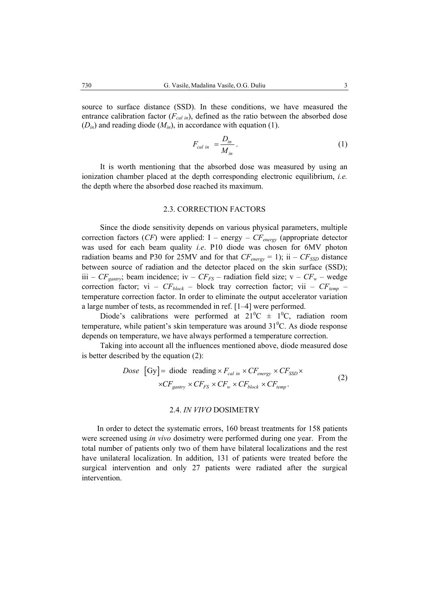source to surface distance (SSD). In these conditions, we have measured the entrance calibration factor  $(F_{cal}$ <sub>in</sub>), defined as the ratio between the absorbed dose  $(D_{in})$  and reading diode  $(M_{in})$ , in accordance with equation (1).

$$
F_{cal\ in} = \frac{D_{in}}{M_{in}}.
$$

It is worth mentioning that the absorbed dose was measured by using an ionization chamber placed at the depth corresponding electronic equilibrium, *i.e.*  the depth where the absorbed dose reached its maximum.

### 2.3. CORRECTION FACTORS

Since the diode sensitivity depends on various physical parameters, multiple correction factors (*CF*) were applied: I – energy –  $CF_{energy}$  (appropriate detector was used for each beam quality *i.e*. P10 diode was chosen for 6MV photon radiation beams and P30 for 25MV and for that  $CF_{energy} = 1$ ; ii –  $CF_{SSD}$  distance between source of radiation and the detector placed on the skin surface (SSD); iii –  $CF_{\text{gantry}}$ ; beam incidence; iv –  $CF_{FS}$  – radiation field size; v –  $CF_w$  – wedge correction factor; vi –  $CF_{block}$  – block tray correction factor; vii –  $CF_{temp}$  – temperature correction factor. In order to eliminate the output accelerator variation a large number of tests, as recommended in ref. [1–4] were performed.

Diode's calibrations were performed at  $21^{\circ}C \pm 1^{\circ}C$ , radiation room temperature, while patient's skin temperature was around  $31^{\circ}$ C. As diode response depends on temperature, we have always performed a temperature correction.

Taking into account all the influences mentioned above, diode measured dose is better described by the equation (2):

$$
Dose \text{ [Gy]} = \text{diode reading} \times F_{cal} \times CF_{energy} \times CF_{SSD} \times
$$
  
 
$$
\times CF_{gantry} \times CF_{FS} \times CF_w \times CF_{block} \times CF_{temp}.
$$
 (2)

#### 2.4. *IN VIVO* DOSIMETRY

In order to detect the systematic errors, 160 breast treatments for 158 patients were screened using *in vivo* dosimetry were performed during one year. From the total number of patients only two of them have bilateral localizations and the rest have unilateral localization. In addition, 131 of patients were treated before the surgical intervention and only 27 patients were radiated after the surgical intervention.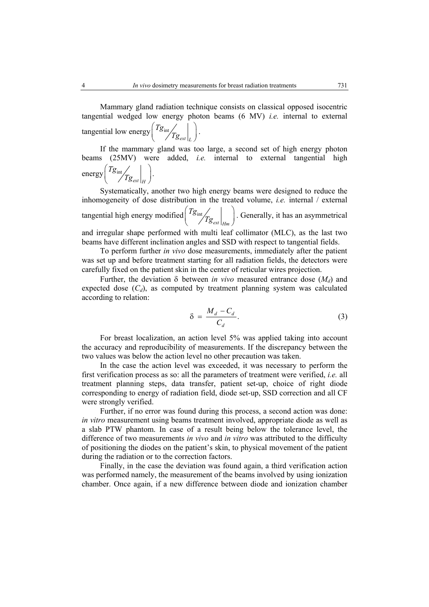Mammary gland radiation technique consists on classical opposed isocentric tangential wedged low energy photon beams (6 MV) *i.e.* internal to external tangential low energy  $\frac{12}{18}$  int *ext L Tg*  $\left(\left.\begin{matrix} T\mathcal{g}_{\mathrm{int}}\end{matrix}\right|_{\mathcal{I}\mathcal{G}_{ext}}\right|_{L}\right).$ 

If the mammary gland was too large, a second set of high energy photon beams (25MV) were added, *i.e.* internal to external tangential high energy  $\frac{18}{18}$  int *ext H Tg*  $\left(Tg_{\text{int}}/g_{\text{ext}}\bigg|_H\right).$ 

Systematically, another two high energy beams were designed to reduce the inhomogeneity of dose distribution in the treated volume, *i.e.* internal / external tangential high energy modified  $\frac{18 \text{ in}}{15}$ *ext Hm Tg*  $\left(Tg_{int}\right)$   $Tg_{ext}\Big|_{Hm}$ . Generally, it has an asymmetrical and irregular shape performed with multi leaf collimator (MLC), as the last two beams have different inclination angles and SSD with respect to tangential fields.

To perform further *in vivo* dose measurements, immediately after the patient was set up and before treatment starting for all radiation fields, the detectors were carefully fixed on the patient skin in the center of reticular wires projection.

Further, the deviation  $\delta$  between *in vivo* measured entrance dose  $(M_d)$  and expected dose  $(C_d)$ , as computed by treatment planning system was calculated according to relation:

$$
\delta = \frac{M_d - C_d}{C_d}.\tag{3}
$$

For breast localization, an action level 5% was applied taking into account the accuracy and reproducibility of measurements. If the discrepancy between the two values was below the action level no other precaution was taken.

In the case the action level was exceeded, it was necessary to perform the first verification process as so: all the parameters of treatment were verified, *i.e.* all treatment planning steps, data transfer, patient set-up, choice of right diode corresponding to energy of radiation field, diode set-up, SSD correction and all CF were strongly verified.

Further, if no error was found during this process, a second action was done: *in vitro* measurement using beams treatment involved, appropriate diode as well as a slab PTW phantom. In case of a result being below the tolerance level, the difference of two measurements *in vivo* and *in vitro* was attributed to the difficulty of positioning the diodes on the patient's skin, to physical movement of the patient during the radiation or to the correction factors.

Finally, in the case the deviation was found again, a third verification action was performed namely, the measurement of the beams involved by using ionization chamber. Once again, if a new difference between diode and ionization chamber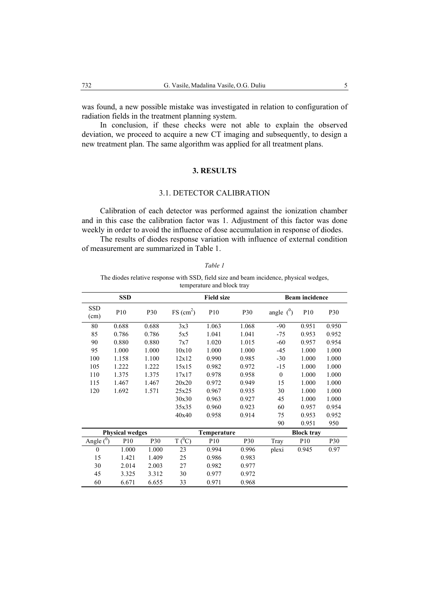was found, a new possible mistake was investigated in relation to configuration of radiation fields in the treatment planning system.

In conclusion, if these checks were not able to explain the observed deviation, we proceed to acquire a new CT imaging and subsequently, to design a new treatment plan. The same algorithm was applied for all treatment plans.

## **3. RESULTS**

### 3.1. DETECTOR CALIBRATION

Calibration of each detector was performed against the ionization chamber and in this case the calibration factor was 1. Adjustment of this factor was done weekly in order to avoid the influence of dose accumulation in response of diodes.

The results of diodes response variation with influence of external condition of measurement are summarized in Table 1.

| ۰,<br>I |
|---------|
|---------|

The diodes relative response with SSD, field size and beam incidence, physical wedges, temperature and block tray

|                    | <b>SSD</b>             |            |                         | <b>Field size</b> |            |                | <b>Beam incidence</b> |            |
|--------------------|------------------------|------------|-------------------------|-------------------|------------|----------------|-----------------------|------------|
| <b>SSD</b><br>(cm) | P10                    | P30        | $FS$ (cm <sup>2</sup> ) | P <sub>10</sub>   | P30        | angle $(^{0})$ | P10                   | <b>P30</b> |
| 80                 | 0.688                  | 0.688      | 3x3                     | 1.063             | 1.068      | $-90$          | 0.951                 | 0.950      |
| 85                 | 0.786                  | 0.786      | 5x5                     | 1.041             | 1.041      | $-75$          | 0.953                 | 0.952      |
| 90                 | 0.880                  | 0.880      | 7x7                     | 1.020             | 1.015      | $-60$          | 0.957                 | 0.954      |
| 95                 | 1.000                  | 1.000      | 10x10                   | 1.000             | 1.000      | $-45$          | 1.000                 | 1.000      |
| 100                | 1.158                  | 1.100      | 12x12                   | 0.990             | 0.985      | $-30$          | 1.000                 | 1.000      |
| 105                | 1.222                  | 1.222      | 15x15                   | 0.982             | 0.972      | $-15$          | 1.000                 | 1.000      |
| 110                | 1.375                  | 1.375      | 17x17                   | 0.978             | 0.958      | $\theta$       | 1.000                 | 1.000      |
| 115                | 1.467                  | 1.467      | 20x20                   | 0.972             | 0.949      | 15             | 1.000                 | 1.000      |
| 120                | 1.692                  | 1.571      | 25x25                   | 0.967             | 0.935      | 30             | 1.000                 | 1.000      |
|                    |                        |            | 30x30                   | 0.963             | 0.927      | 45             | 1.000                 | 1.000      |
|                    |                        |            | 35x35                   | 0.960             | 0.923      | 60             | 0.957                 | 0.954      |
|                    |                        |            | 40x40                   | 0.958             | 0.914      | 75             | 0.953                 | 0.952      |
|                    |                        |            |                         |                   |            | 90             | 0.951                 | 950        |
|                    | <b>Physical wedges</b> |            |                         | Temperature       |            |                | <b>Block tray</b>     |            |
| Angle $(^0)$       | P <sub>10</sub>        | <b>P30</b> | $T(^{0}C)$              | P <sub>10</sub>   | <b>P30</b> | Tray           | P <sub>10</sub>       | P30        |
| $\mathbf{0}$       | 1.000                  | 1.000      | 23                      | 0.994             | 0.996      | plexi          | 0.945                 | 0.97       |
| 15                 | 1.421                  | 1.409      | 25                      | 0.986             | 0.983      |                |                       |            |
| 30                 | 2.014                  | 2.003      | 27                      | 0.982             | 0.977      |                |                       |            |
| 45                 | 3.325                  | 3.312      | 30                      | 0.977             | 0.972      |                |                       |            |
| 60                 | 6.671                  | 6.655      | 33                      | 0.971             | 0.968      |                |                       |            |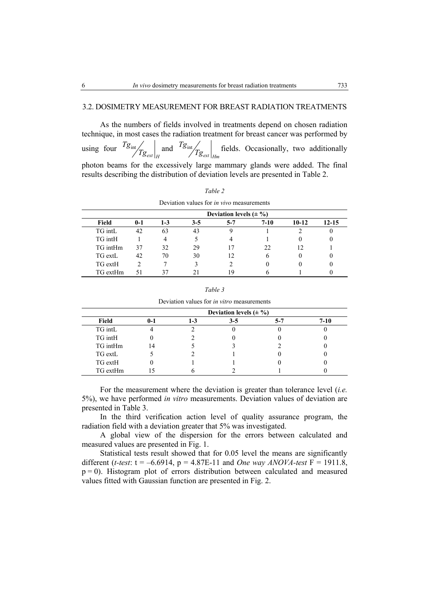#### 3.2. DOSIMETRY MEASUREMENT FOR BREAST RADIATION TREATMENTS

As the numbers of fields involved in treatments depend on chosen radiation technique, in most cases the radiation treatment for breast cancer was performed by

using four  $\frac{18}{10}$ *ext H*  $\frac{q_{\text{int}}}{q_{\text{ext}}}$  and  $\frac{r_{\mathcal{S}_{\text{int}}}}{r_{\mathcal{S}_{\text{ext}}}}$   $\Big|_{Hm}$  $Tg_{int}$  fields. Occasionally, two additionally

photon beams for the excessively large mammary glands were added. The final results describing the distribution of deviation levels are presented in Table 2.

*Table 2* 

|          |         |         |         | Deviation values for <i>in vivo</i> measurements |          |         |           |
|----------|---------|---------|---------|--------------------------------------------------|----------|---------|-----------|
|          |         |         |         | Deviation levels $(\pm \frac{9}{6})$             |          |         |           |
| Field    | $0 - 1$ | $1 - 3$ | $3 - 5$ | $5 - 7$                                          | $7 - 10$ | $10-12$ | $12 - 15$ |
| TG intL  | 42      | 63      | 43      | Q                                                |          |         |           |
| TG intH  |         |         |         | 4                                                |          | 0       |           |
| TG intHm | 37      | 32      | 29      |                                                  | 22       | 12      |           |
| TG extL  | 42      | 70      | 30      | 12                                               | h        | 0       |           |
| TG extH  | っ       |         | ٦       |                                                  |          | 0       |           |
| TG extHm | 51      |         |         | 1 Q                                              |          |         |           |

*Table 3* 

Deviation values for *in vitro* measurements

|          | Deviation levels $(\pm \frac{9}{6})$ |     |         |     |      |  |  |
|----------|--------------------------------------|-----|---------|-----|------|--|--|
| Field    | $0 - 1$                              | I-3 | $3 - 5$ | 5-7 | 7-10 |  |  |
| TG intL  |                                      |     |         |     |      |  |  |
| TG intH  |                                      |     |         |     |      |  |  |
| TG intHm | 14                                   |     |         |     |      |  |  |
| TG extL  |                                      |     |         |     |      |  |  |
| TG extH  |                                      |     |         |     |      |  |  |
| TG extHm |                                      |     |         |     |      |  |  |

For the measurement where the deviation is greater than tolerance level (*i.e.* 5%), we have performed *in vitro* measurements. Deviation values of deviation are presented in Table 3.

In the third verification action level of quality assurance program, the radiation field with a deviation greater that 5% was investigated.

A global view of the dispersion for the errors between calculated and measured values are presented in Fig. 1.

Statistical tests result showed that for 0.05 level the means are significantly different (*t-test*:  $t = -6.6914$ ,  $p = 4.87E-11$  and *One way ANOVA-test*  $F = 1911.8$ ,  $p = 0$ ). Histogram plot of errors distribution between calculated and measured values fitted with Gaussian function are presented in Fig. 2.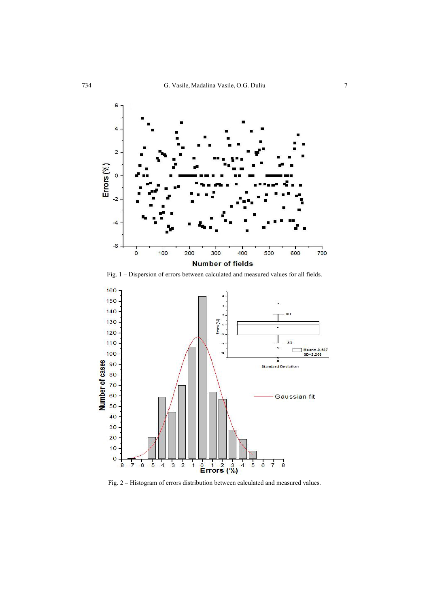

Fig. 1 – Dispersion of errors between calculated and measured values for all fields.



Fig. 2 – Histogram of errors distribution between calculated and measured values.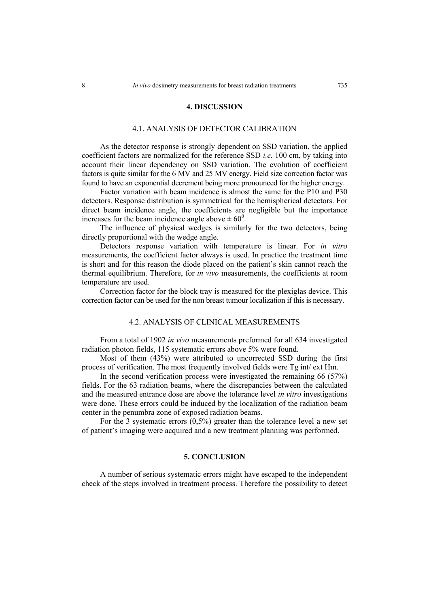#### **4. DISCUSSION**

#### 4.1. ANALYSIS OF DETECTOR CALIBRATION

As the detector response is strongly dependent on SSD variation, the applied coefficient factors are normalized for the reference SSD *i.e.* 100 cm, by taking into account their linear dependency on SSD variation. The evolution of coefficient factors is quite similar for the 6 MV and 25 MV energy. Field size correction factor was found to have an exponential decrement being more pronounced for the higher energy.

Factor variation with beam incidence is almost the same for the P10 and P30 detectors. Response distribution is symmetrical for the hemispherical detectors. For direct beam incidence angle, the coefficients are negligible but the importance increases for the beam incidence angle above  $\pm 60^{\circ}$ .

The influence of physical wedges is similarly for the two detectors, being directly proportional with the wedge angle.

Detectors response variation with temperature is linear. For *in vitro* measurements, the coefficient factor always is used. In practice the treatment time is short and for this reason the diode placed on the patient's skin cannot reach the thermal equilibrium. Therefore, for *in vivo* measurements, the coefficients at room temperature are used.

Correction factor for the block tray is measured for the plexiglas device. This correction factor can be used for the non breast tumour localization if this is necessary.

### 4.2. ANALYSIS OF CLINICAL MEASUREMENTS

From a total of 1902 *in vivo* measurements preformed for all 634 investigated radiation photon fields, 115 systematic errors above 5% were found.

Most of them (43%) were attributed to uncorrected SSD during the first process of verification. The most frequently involved fields were Tg int/ ext Hm.

In the second verification process were investigated the remaining 66 (57%) fields. For the 63 radiation beams, where the discrepancies between the calculated and the measured entrance dose are above the tolerance level *in vitro* investigations were done. These errors could be induced by the localization of the radiation beam center in the penumbra zone of exposed radiation beams.

For the 3 systematic errors  $(0,5\%)$  greater than the tolerance level a new set of patient's imaging were acquired and a new treatment planning was performed.

#### **5. CONCLUSION**

A number of serious systematic errors might have escaped to the independent check of the steps involved in treatment process. Therefore the possibility to detect